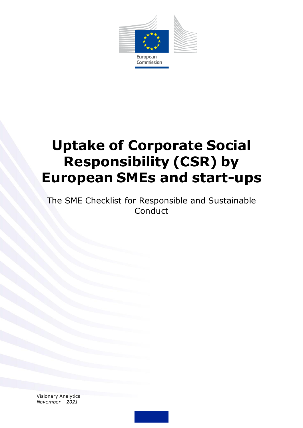

# **Uptake of Corporate Social Responsibility (CSR) by European SMEs and start-ups**

The SME Checklist for Responsible and Sustainable **Conduct** 

Visionary Analytics *November – 2021*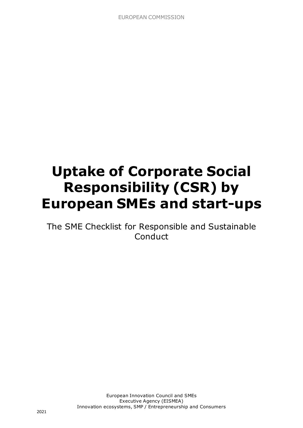# **Uptake of Corporate Social Responsibility (CSR) by European SMEs and start-ups**

The SME Checklist for Responsible and Sustainable **Conduct**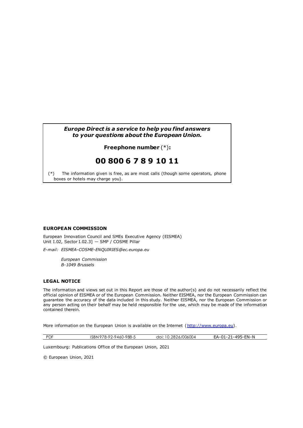#### *Europe Direct is a service to help you find answers to your questions about the European Union.*

#### **Freephone number** (\*)**:**

# **00 800 6 7 8 9 10 11**

[\(\\*\)](http://europa.eu.int/citizensrights/signpost/about/index_en.htm#note1#note1) The information given is free, as are most calls (though some operators, phone boxes or hotels may charge you).

#### **EUROPEAN COMMISSION**

European Innovation Council and SMEs Executive Agency (EISMEA) Unit I.02, Sector I.02.3] — SMP / COSME Pillar

*E-mail: EISMEA-COSME-ENQUIRIES@ec.europa.eu*

*European Commission B-1049 Brussels*

#### **LEGAL NOTICE**

The information and views set out in this Report are those of the author(s) and do not necessarily reflect the official opinion of EISMEA or of the European Commission. Neither EISMEA, nor the European Commission can guarantee the accuracy of the data included in this study. Neither EISMEA, nor the European Commission or any person acting on their behalf may be held responsible for the use, which may be made of the information contained therein.

More information on the European Union is available on the Internet [\(http://www.europa.eu\)](http://www.europa.eu/).

| <b>PDF</b> | ISBN 978-92-9460-988-5 | doi: 10.2826/006004 | EA-01-21-495-EN-N |
|------------|------------------------|---------------------|-------------------|

Luxembourg: Publications Office of the European Union, 2021

© European Union, 2021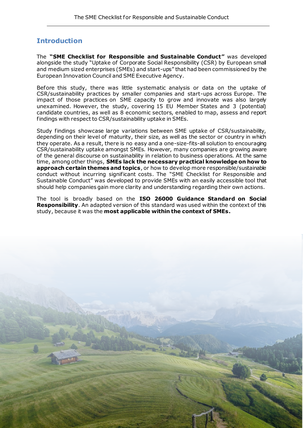# **Introduction**

The **"SME Checklist for Responsible and Sustainable Conduct"** was developed alongside the study "Uptake of Corporate Social Responsibility (CSR) by European small and medium sized enterprises (SMEs) and start-ups" that had been commissioned by the European Innovation Council and SME Executive Agency.

Before this study, there was little systematic analysis or data on the uptake of CSR/sustainability practices by smaller companies and start-ups across Europe. The impact of those practices on SME capacity to grow and innovate was also largely unexamined. However, the study, covering 15 EU Member States and 3 (potential) candidate countries, as well as 8 economic sectors, enabled to map, assess and report findings with respect to CSR/sustainability uptake in SMEs.

Study findings showcase large variations between SME uptake of CSR/sustainability, depending on their level of maturity, their size, as well as the sector or country in which they operate. As a result, there is no easy and a one-size-fits-all solution to encouraging CSR/sustainability uptake amongst SMEs. However, many companies are growing aware of the general discourse on sustainability in relation to business operations. At the same time, among other things, **SMEs lack the necessary practical knowledge on how to approach certain themes and topics**, or how to develop more responsible/sustainable conduct without incurring significant costs. The "SME Checklist for Responsible and Sustainable Conduct" was developed to provide SMEs with an easily accessible tool that should help companies gain more clarity and understanding regarding their own actions.

The tool is broadly based on the **ISO 26000 Guidance Standard on Social Responsibility**. An adapted version of this standard was used within the context of this study, because it was the **most applicable within the context of SMEs.** 

5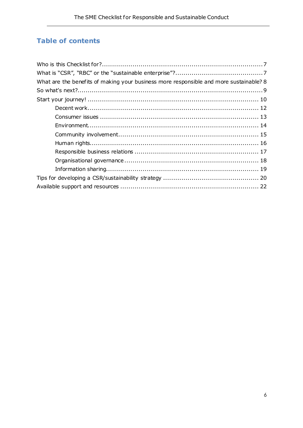# **Table of contents**

| What are the benefits of making your business more responsible and more sustainable? 8 |
|----------------------------------------------------------------------------------------|
|                                                                                        |
|                                                                                        |
|                                                                                        |
|                                                                                        |
|                                                                                        |
|                                                                                        |
|                                                                                        |
|                                                                                        |
|                                                                                        |
|                                                                                        |
|                                                                                        |
|                                                                                        |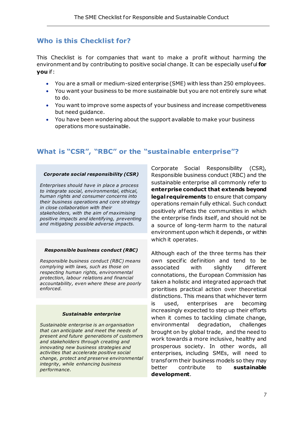# <span id="page-6-0"></span>**Who is this Checklist for?**

This Checklist is for companies that want to make a profit without harming the environment and by contributing to positive social change. It can be especially useful **for you** if:

- You are a small or medium-sized enterprise (SME) with less than 250 employees.
- You want your business to be more sustainable but you are not entirely sure what to do.
- You want to improve some aspects of your business and increase competitiveness but need guidance.
- You have been wondering about the support available to make your business operations more sustainable.

# <span id="page-6-1"></span>**What is "CSR", "RBC" or the "sustainable enterprise"?**

#### *Corporate social responsibility (CSR)*

*Enterprises should have in place a process to integrate social, environmental, ethical, human rights and consumer concerns into their business operations and core strategy in close collaboration with their stakeholders, with the aim of maximising positive impacts and identifying, preventing and mitigating possible adverse impacts.*

#### *Responsible business conduct (RBC)*

*Responsible business conduct (RBC) means complying with laws, such as those on respecting human rights, environmental protection, labour relations and financial accountability, even where these are poorly enforced.*

#### *Sustainable enterprise*

*Sustainable enterprise is an organisation that can anticipate and meet the needs of present and future generations of customers and stakeholders through creating and innovating new business strategies and activities that accelerate positive social change, protect and preserve environmental integrity, while enhancing business performance.*

Corporate Social Responsibility (CSR), Responsible business conduct (RBC) and the sustainable enterprise all commonly refer to **enterprise conduct that extends beyond legal requirements** to ensure that company operations remain fully ethical. Such conduct positively affects the communities in which the enterprise finds itself, and should not be a source of long-term harm to the natural environment upon which it depends, or within which it operates.

Although each of the three terms has their own specific definition and tend to be associated with slightly different connotations, the European Commission has taken a holistic and integrated approach that prioritises practical action over theoretical distinctions. This means that whichever term is used, enterprises are becoming increasingly expected to step up their efforts when it comes to tackling climate change, environmental degradation, challenges brought on by global trade, and the need to work towards a more inclusive, healthy and prosperous society. In other words, all enterprises, including SMEs, will need to transform their business models so they may better contribute to **sustainable development**.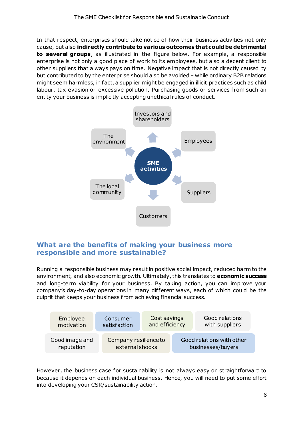In that respect, enterprises should take notice of how their business activities not only cause, but also **indirectly contribute to various outcomes that could be detrimental to several groups**, as illustrated in the figure below. For example, a responsible enterprise is not only a good place of work to its employees, but also a decent client to other suppliers that always pays on time. Negative impact that is not directly caused by but contributed to by the enterprise should also be avoided – while ordinary B2B relations might seem harmless, in fact, a supplier might be engaged in illicit practices such as child labour, tax evasion or excessive pollution. Purchasing goods or services from such an entity your business is implicitly accepting unethical rules of conduct.



# <span id="page-7-0"></span>**What are the benefits of making your business more responsible and more sustainable?**

Running a responsible business may result in positive social impact, reduced harm to the environment, and also economic growth. Ultimately, this translates to **economic success** and long-term viability for your business. By taking action, you can improve your company's day-to-day operations in many dif ferent ways, each of which could be the culprit that keeps your business f rom achieving financial success.



However, the business case for sustainability is not always easy or straightforward to because it depends on each individual business. Hence, you will need to put some effort into developing your CSR/sustainability action.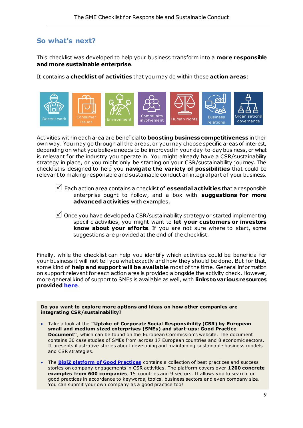# <span id="page-8-0"></span>**So what's next?**

This checklist was developed to help your business transform into a **more responsible and more sustainable enterprise**.

It contains a **checklist of activities** that you may do within these **action areas**:



Activities within each area are beneficial to **boosting business competitiveness** in their own way. You may go through all the areas, or you may choose specific areas of interest, depending on what you believe needs to be improved in your day-to-day business, or what is relevant for the industry you operate in. You might already have a CSR/sustainability strategy in place, or you might only be starting on your CSR/sustainability journey. The checklist is designed to help you **navigate the variety of possibilities** that could be relevant to making responsible and sustainable conduct an integral part of your business.

- Each action area contains a checklist of **essential activities** that a responsible enterprise ought to follow, and a box with **suggestions for more advanced activities** with examples.
- $\boxtimes$  Once you have developed a CSR/sustainability strategy or started implementing specific activities, you might want to **let your customers or investors know about your efforts**. If you are not sure where to start, some suggestions are provided at the end of the checklist.

Finally, while the checklist can help you identify which activities could be beneficial for your business it will not tell you what exactly and how they should be done. But for that, some kind of **help and support will be available** most of the time. General information on support relevant for each action area is provided alongside the activity check. However, more general kind of support to SMEs is available as well, with **links to various resources provided [here](#page-21-0)**.

<span id="page-8-1"></span>**Do you want to explore more options and ideas on how other companies are integrating CSR/sustainability?**

- Take a look at the **"Uptake of Corporate Social Responsibility (CSR) by European small and medium sized enterprises (SMEs) and start-ups: Good Practice Document"**, which can be found on the European Commission's website. The document contains 30 case studies of SMEs from across 17 European countries and 8 economic sectors. It presents illustrative stories about developing and maintaining sustainable business models and CSR strategies.
- The **[BipiZ platform of Good Practices](https://www.bipiz.org/en/)** contains a collection of best practices and success stories on company engagements in CSR activities. The platform covers over **1200 concrete examples from 600 companies**, 15 countries and 9 sectors. It allows you to search for good practices in accordance to keywords, topics, business sectors and even company size. You can submit your own company as a good practice too!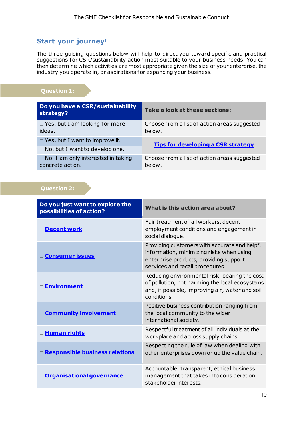# <span id="page-9-0"></span>**Start your journey!**

The three guiding questions below will help to direct you toward specific and practical suggestions for CSR/sustainability action most suitable to your business needs. You can then determine which activities are most appropriate given the size of your enterprise, the industry you operate in, or aspirations for expanding your business.

# **Question 1:**

| Do you have a CSR/sustainability<br>strategy?                 | Take a look at these sections:                         |
|---------------------------------------------------------------|--------------------------------------------------------|
| $\Box$ Yes, but I am looking for more<br>ideas.               | Choose from a list of action areas suggested<br>below. |
| $\Box$ Yes, but I want to improve it.                         | <b>Tips for developing a CSR strategy</b>              |
| $\Box$ No, but I want to develop one.                         |                                                        |
| $\Box$ No. I am only interested in taking<br>concrete action. | Choose from a list of action areas suggested<br>below. |

# **Question 2:**

| Do you just want to explore the<br>possibilities of action? | What is this action area about?                                                                                                                                       |
|-------------------------------------------------------------|-----------------------------------------------------------------------------------------------------------------------------------------------------------------------|
| Decent work                                                 | Fair treatment of all workers, decent<br>employment conditions and engagement in<br>social dialoque.                                                                  |
| <b>Consumer issues</b>                                      | Providing customers with accurate and helpful<br>information, minimizing risks when using<br>enterprise products, providing support<br>services and recall procedures |
| □ <mark>Environment</mark>                                  | Reducing environmental risk, bearing the cost<br>of pollution, not harming the local ecosystems<br>and, if possible, improving air, water and soil<br>conditions      |
| D <b>Community involvement</b>                              | Positive business contribution ranging from<br>the local community to the wider<br>international society.                                                             |
| □ <u>Human rights</u>                                       | Respectful treatment of all individuals at the<br>workplace and across supply chains.                                                                                 |
| □ Responsible business relations                            | Respecting the rule of law when dealing with<br>other enterprises down or up the value chain.                                                                         |
| D Organisational governance                                 | Accountable, transparent, ethical business<br>management that takes into consideration<br>stakeholder interests.                                                      |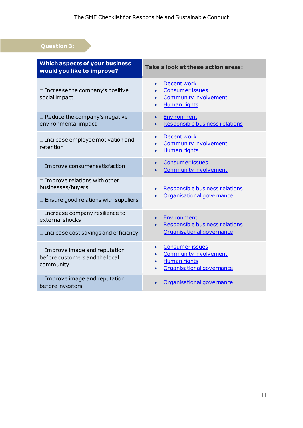# **Question 3:**

| <b>Which aspects of your business</b><br>would you like to improve?                | Take a look at these action areas:                                                                                                         |
|------------------------------------------------------------------------------------|--------------------------------------------------------------------------------------------------------------------------------------------|
| $\Box$ Increase the company's positive<br>social impact                            | <b>Decent work</b><br>$\bullet$<br><b>Consumer issues</b><br><b>Community involvement</b><br>$\bullet$<br><b>Human rights</b><br>$\bullet$ |
| $\Box$ Reduce the company's negative<br>environmental impact                       | Environment<br>$\bullet$<br>Responsible business relations                                                                                 |
| $\Box$ Increase employee motivation and<br>retention                               | Decent work<br>$\bullet$<br><b>Community involvement</b><br><b>Human rights</b>                                                            |
| $\Box$ Improve consumer satisfaction                                               | <b>Consumer issues</b><br>$\bullet$<br><b>Community involvement</b>                                                                        |
| $\Box$ Improve relations with other<br>businesses/buyers                           | Responsible business relations                                                                                                             |
| $\Box$ Ensure good relations with suppliers                                        | Organisational governance                                                                                                                  |
| $\square$ Increase company resilience to<br>external shocks                        | Environment<br>$\bullet$<br>Responsible business relations                                                                                 |
| $\Box$ Increase cost savings and efficiency                                        | Organisational governance                                                                                                                  |
| $\Box$ Improve image and reputation<br>before customers and the local<br>community | <b>Consumer issues</b><br>$\bullet$<br><b>Community involvement</b><br><b>Human rights</b><br>$\bullet$<br>Organisational governance       |
| $\Box$ Improve image and reputation<br>before investors                            | Organisational governance                                                                                                                  |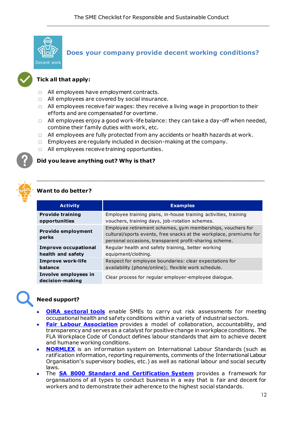<span id="page-11-0"></span>

**Does your company provide decent working conditions?**

# **Tick all that apply:**

- $\Box$  All employees have employment contracts.
- $\Box$  All employees are covered by social insurance.
- $\Box$  All employees receive fair wages: they receive a living wage in proportion to their ef forts and are compensated for overtime.
- $\Box$  All employees enjoy a good work-life balance: they can take a day-off when needed, combine their family duties with work, etc.
- $\Box$  All employees are fully protected from any accidents or health hazards at work.
- $\Box$  Employees are regularly included in decision-making at the company.
- $\Box$  All employees receive training opportunities.

#### **Did you leave anything out? Why is that?**



#### **Want to do better?**

| <b>Activity</b>                                  | <b>Examples</b>                                                                                                                                                                            |
|--------------------------------------------------|--------------------------------------------------------------------------------------------------------------------------------------------------------------------------------------------|
| <b>Provide training</b><br>opportunities         | Employee training plans, in-house training activities, training<br>vouchers, training days, job-rotation schemes.                                                                          |
| <b>Provide employment</b><br>perks               | Employee retirement schemes, gym memberships, vouchers for<br>cultural/sports events, free snacks at the workplace, premiums for<br>personal occasions, transparent profit-sharing scheme. |
| <b>Improve occupational</b><br>health and safety | Regular health and safety training, better working<br>equipment/clothing.                                                                                                                  |
| <b>Improve work-life</b><br>balance              | Respect for employee boundaries: clear expectations for<br>availability (phone/online); flexible work schedule.                                                                            |
| Involve employees in<br>decision-making          | Clear process for regular employer-employee dialogue.                                                                                                                                      |

\_\_\_\_\_\_\_\_\_\_\_\_\_\_\_\_\_\_\_\_\_\_\_\_\_\_\_\_\_\_\_\_\_\_\_\_\_\_\_\_\_\_\_\_\_\_\_\_\_\_\_\_\_\_\_\_\_\_\_\_\_\_\_\_\_\_\_\_\_\_

- **OIRA sectoral tools** enable SMEs to carry out risk assessments for meeting occupational health and safety conditions within a variety of industrial sectors.
- **[Fair Labour Association](https://www.fairlabor.org/)** provides a model of collaboration, accountability, and transparency and serves as a catalyst for positive change in workplace conditions. The FLA Workplace Code of Conduct defines labour standards that aim to achieve decent and humane working conditions.
- **[NORMLEX](https://www.ilo.org/dyn/normlex/en/f?p=NORMLEXPUB:1:0::NO:::)** is an information system on International Labour Standards (such as ratification information, reporting requirements, comments of the International Labour Organisation's supervisory bodies, etc.) as well as national labour and social security laws.
- The **[SA 8000 Standard and Certification System](https://sa-intl.org/programs/sa8000/)** provides a framework for organisations of all types to conduct business in a way that is fair and decent for workers and to demonstrate their adherence to the highest social standards.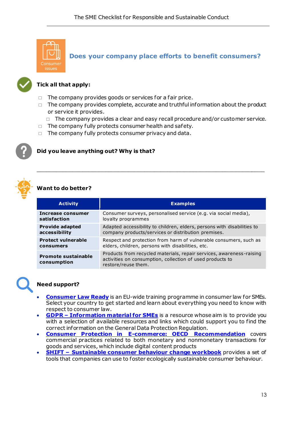<span id="page-12-0"></span>

**Does your company place efforts to benefit consumers?**



# **Tick all that apply:**

- $\Box$  The company provides goods or services for a fair price.
- $\Box$  The company provides complete, accurate and truthful information about the product or service it provides.
	- $\Box$  The company provides a clear and easy recall procedure and/or customer service.
- $\Box$  The company fully protects consumer health and safety.
- $\Box$  The company fully protects consumer privacy and data.

#### **Did you leave anything out? Why is that?**



# **Want to do better?**

| <b>Activity</b>                           | <b>Examples</b>                                                                                                                                          |
|-------------------------------------------|----------------------------------------------------------------------------------------------------------------------------------------------------------|
| Increase consumer                         | Consumer surveys, personalised service (e.g. via social media),                                                                                          |
| satisfaction                              | loyalty programmes                                                                                                                                       |
| <b>Provide adapted</b>                    | Adapted accessibility to children, elders, persons with disabilities to                                                                                  |
| accessibility                             | company products/services or distribution premises.                                                                                                      |
| <b>Protect vulnerable</b>                 | Respect and protection from harm of vulnerable consumers, such as                                                                                        |
| consumers                                 | elders, children, persons with disabilities, etc.                                                                                                        |
| <b>Promote sustainable</b><br>consumption | Products from recycled materials, repair services, awareness-raising<br>activities on consumption, collection of used products to<br>restore/reuse them. |

\_\_\_\_\_\_\_\_\_\_\_\_\_\_\_\_\_\_\_\_\_\_\_\_\_\_\_\_\_\_\_\_\_\_\_\_\_\_\_\_\_\_\_\_\_\_\_\_\_\_\_\_\_\_\_\_\_\_\_\_\_\_\_\_\_\_\_\_\_\_

- **[Consumer Law Ready](https://www.consumerlawready.eu/)** is an EU-wide training programme in consumer law for SMEs. Select your country to get started and learn about everything you need to know with respect to consumer law.
- **GDPR – [Information material for SMEs](https://www.consumerlawready.eu/sites/default/files/2021-06/GDPR%20-%20Information%20Material%20for%20SMEs.pdf)** is a resource whose aim is to provide you with a selection of available resources and links which could support you to find the correct information on the General Data Protection Regulation.
- **[Consumer Protection in E-commerce: OECD Recommendation](http://dx.doi.org/10.1787/9789264255258-en)** covers commercial practices related to both monetary and nonmonetary transactions for goods and services, which include digital content products
- **SHIFT [Sustainable consumer behaviour change workbook](https://media.sitra.fi/2018/05/23145322/sitrashiftworkbookv04-www.pdf)** provides a set of tools that companies can use to foster ecologically sustainable consumer behaviour.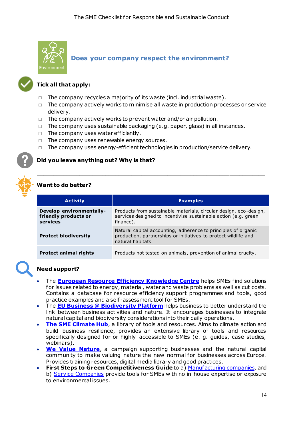<span id="page-13-0"></span>

# **Does your company respect the environment?**



### **Tick all that apply:**

- $\Box$  The company recycles a majority of its waste (incl. industrial waste).
- $\Box$  The company actively works to minimise all waste in production processes or service delivery.
- $\Box$  The company actively works to prevent water and/or air pollution.
- $\Box$  The company uses sustainable packaging (e.g. paper, glass) in all instances.
- $\Box$  The company uses water efficiently.
- $\Box$  The company uses renewable energy sources.
- $\Box$  The company uses energy-efficient technologies in production/service delivery.

 $\Box$ 

#### **Did you leave anything out? Why is that?**



# **Want to do better?**

| <b>Activity</b>                                              | <b>Examples</b>                                                                                                                                        |
|--------------------------------------------------------------|--------------------------------------------------------------------------------------------------------------------------------------------------------|
| Develop environmentally-<br>friendly products or<br>services | Products from sustainable materials, circular design, eco-design,<br>services designed to incentivise sustainable action (e.g. green<br>finance).      |
| <b>Protect biodiversity</b>                                  | Natural capital accounting, adherence to principles of organic<br>production, partnerships or initiatives to protect wildlife and<br>natural habitats. |
| <b>Protect animal rights</b>                                 | Products not tested on animals, prevention of animal cruelty.                                                                                          |

- The **[European Resource Efficiency Knowledge Centre](https://www.resourceefficient.eu/en)** helps SMEs find solutions for issues related to energy, material, water and waste problems as well as cut costs. Contains a database for resource ef ficiency support programmes and tools, good practice examples and a self -assessment tool for SMEs.
- The **[EU Business @ Biodiversity Platform](https://ec.europa.eu/environment/biodiversity/business/index_en.htm)** helps business to better understand the link between business activities and nature. It encourages businesses to integrate natural capital and biodiversity considerations into their daily operations.
- **[The SME Climate Hub](https://smeclimatehub.org/tools/)**, a library of tools and resources. Aims to climate action and build business resilience, provides an extensive library of tools and resources specifically designed for or highly accessible to SMEs (e. g. guides, case studies, webinars).
- **[We Value Nature](https://wevaluenature.eu/)**, a campaign supporting businesses and the natural capital community to make valuing nature the new normal for businesses across Europe. Provides training resources, digital media library and good practices.
- **First Steps to Green Competitiveness Guide** to a) [Manufacturing companies](https://www.leanbusinessireland.ie/wp-content/uploads/2017/05/First-Steps-to-Green-Competitiveness-Guide-Manufacturing.pdf), and b) [Service Companies](https://www.leanbusinessireland.ie/wp-content/uploads/2017/05/First-Steps-to-Green-Competitiveness-Guidebook-for-Services-or-Office-based-companies.pdf) provide tools for SMEs with no in-house expertise or exposure to environmental issues.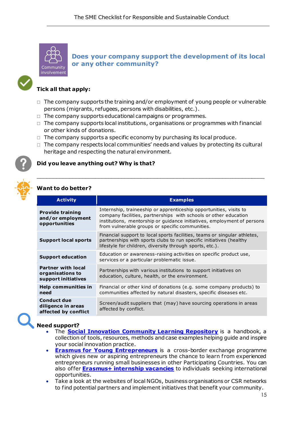<span id="page-14-0"></span>

<span id="page-14-1"></span>**Does your company support the development of its local or any other community?**

#### **Tick all that apply:**

- $\Box$  The company supports the training and/or employment of young people or vulnerable persons (migrants, refugees, persons with disabilities, etc.).
- $\Box$  The company supports educational campaigns or programmes.
- $\Box$  The company supports local institutions, organisations or programmes with financial or other kinds of donations.
- $\Box$  The company supports a specific economy by purchasing its local produce.
- $\Box$  The company respects local communities' needs and values by protecting its cultural heritage and respecting the natural environment.

 $\Box$ 

#### **Did you leave anything out? Why is that?**

#### **Want to do better?**

| <b>Activity</b>                                                      | <b>Examples</b>                                                                                                                                                                                                                                                      |
|----------------------------------------------------------------------|----------------------------------------------------------------------------------------------------------------------------------------------------------------------------------------------------------------------------------------------------------------------|
| <b>Provide training</b><br>and/or employment<br>opportunities        | Internship, traineeship or apprenticeship opportunities, visits to<br>company facilities, partnerships with schools or other education<br>institutions, mentorship or guidance initiatives, employment of persons<br>from vulnerable groups or specific communities. |
| <b>Support local sports</b>                                          | Financial support to local sports facilities, teams or singular athletes,<br>partnerships with sports clubs to run specific initiatives (healthy<br>lifestyle for children, diversity through sports, etc.).                                                         |
| <b>Support education</b>                                             | Education or awareness-raising activities on specific product use,<br>services or a particular problematic issue.                                                                                                                                                    |
| <b>Partner with local</b><br>organisations to<br>support initiatives | Partnerships with various institutions to support initiatives on<br>education, culture, health, or the environment.                                                                                                                                                  |
| Help communities in<br>need                                          | Financial or other kind of donations (e.g. some company products) to<br>communities affected by natural disasters, specific diseases etc.                                                                                                                            |
| <b>Conduct due</b><br>diligence in areas<br>affected by conflict     | Screen/audit suppliers that (may) have sourcing operations in areas<br>affected by conflict.                                                                                                                                                                         |

- The **[Social Innovation Community Learning Repository](https://www.siceurope.eu/resources-test/welcome-sic-learning-repository)** is a handbook, a collection of tools, resources, methods and case examples helping guide and inspire your social innovation practice.
- **[Erasmus for Young Entrepreneurs](https://www.erasmus-entrepreneurs.eu/index.php?lan=en)** is a cross-border exchange programme which gives new or aspiring entrepreneurs the chance to learn from experienced entrepreneurs running small businesses in other Participating Countries. You can also offer **[Erasmus+ internship vacancies](https://erasmusintern.org/)** to individuals seeking international opportunities.
- Take a look at the websites of local NGOs, business organisations or CSR networks to find potential partners and implement initiatives that benefit your community.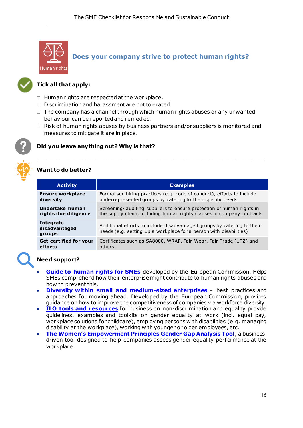<span id="page-15-0"></span>

**Does your company strive to protect human rights?**



### **Tick all that apply:**

- $\Box$  Human rights are respected at the workplace.
- $\Box$  Discrimination and harassment are not tolerated.
- $\Box$  The company has a channel through which human rights abuses or any unwanted behaviour can be reported and remedied.
- $\Box$  Risk of human rights abuses by business partners and/or suppliers is monitored and measures to mitigate it are in place.

 $\Box$ 



#### **Did you leave anything out? Why is that?**



# **Want to do better?**

| <b>Activity</b>                             | <b>Examples</b>                                                                                                                               |
|---------------------------------------------|-----------------------------------------------------------------------------------------------------------------------------------------------|
| <b>Ensure workplace</b>                     | Formalised hiring practices (e.g. code of conduct), efforts to include                                                                        |
| diversity                                   | underrepresented groups by catering to their specific needs                                                                                   |
| Undertake human                             | Screening/ auditing suppliers to ensure protection of human rights in                                                                         |
| rights due diligence                        | the supply chain, including human rights clauses in company contracts                                                                         |
| <b>Integrate</b><br>disadvantaged<br>groups | Additional efforts to include disadvantaged groups by catering to their<br>needs (e.g. setting up a workplace for a person with disabilities) |
| <b>Get certified for your</b>               | Certificates such as SA8000, WRAP, Fair Wear, Fair Trade (UTZ) and                                                                            |
| efforts                                     | others.                                                                                                                                       |

- **[Guide to human rights for SMEs](https://media.business-humanrights.org/media/documents/files/documents/SME-BHR-guide-EU.pdf)** developed by the European Commission. Helps SMEs comprehend how their enterprise might contribute to human rights abuses and how to prevent this.
- **[Diversity within small and medium-sized enterprises](https://eur-lex.europa.eu/legal-content/EN/TXT/PDF/?uri=CELLAR:91af0878-b379-11e5-8d3c-01aa75ed71a1&from=EN)** best practices and approaches for moving ahead. Developed by the European Commission, provides guidance on how to improve the competitiveness of companies via workforce diversity.
- **[ILO tools and resources](https://www.ilo.org/empent/areas/business-helpdesk/tools-resources/WCMS_144892/lang--en/index.htm)** for business on non-discrimination and equality provide guidelines, examples and toolkits on gender equality at work (incl. equal pay, workplace solutions for childcare), employing persons with disabilities (e.g. managing disability at the workplace), working with younger or older employees, etc.
- **[The Women's Empowerment Principles Gender Gap Analysis Tool](https://weps-gapanalysis.org/)**, a businessdriven tool designed to help companies assess gender equality performance at the workplace.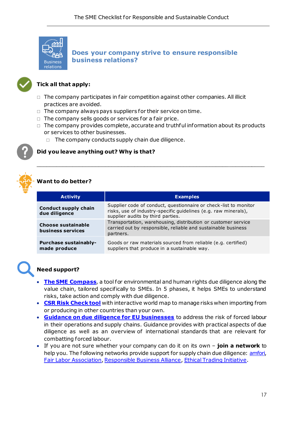<span id="page-16-0"></span>

**Does your company strive to ensure responsible business relations?**



# **Tick all that apply:**

- $\Box$  The company participates in fair competition against other companies. All illicit practices are avoided.
- $\Box$  The company always pays suppliers for their service on time.
- $\Box$  The company sells goods or services for a fair price.
- $\Box$  The company provides complete, accurate and truthful information about its products or services to other businesses.

\_\_\_\_\_\_\_\_\_\_\_\_\_\_\_\_\_\_\_\_\_\_\_\_\_\_\_\_\_\_\_\_\_\_\_\_\_\_\_\_\_\_\_\_\_\_\_\_\_\_\_\_\_\_\_\_\_\_\_\_\_\_\_\_\_\_\_\_\_\_

 $\Box$  The company conducts supply chain due diligence.

#### **Did you leave anything out? Why is that?**



# **Want to do better?**

| <b>Activity</b>                                | <b>Examples</b>                                                                                                                                                          |
|------------------------------------------------|--------------------------------------------------------------------------------------------------------------------------------------------------------------------------|
| <b>Conduct supply chain</b><br>due diligence   | Supplier code of conduct, questionnaire or check-list to monitor<br>risks, use of industry-specific quidelines (e.g. raw minerals),<br>supplier audits by third parties. |
| <b>Choose sustainable</b><br>business services | Transportation, warehousing, distribution or customer service<br>carried out by responsible, reliable and sustainable business<br>partners.                              |
| <b>Purchase sustainably-</b><br>made produce   | Goods or raw materials sourced from reliable (e.g. certified)<br>suppliers that produce in a sustainable way.                                                            |

- **[The SME Compass](https://kompass.wirtschaft-entwicklung.de/en/)**, a tool for environmental and human rights due diligence along the value chain, tailored specifically to SMEs. In 5 phases, it helps SMEs to understand risks, take action and comply with due diligence.
- **[CSR Risk Check tool](https://www.mvorisicochecker.nl/en)** with interactive world map to manage risks when importing from or producing in other countries than your own.
- **[Guidance on due diligence for EU businesses](https://trade.ec.europa.eu/doclib/docs/2021/july/tradoc_159709.pdf)** to address the risk of forced labour in their operations and supply chains. Guidance provides with practical aspects of due diligence as well as an overview of international standards that are relevant for combatting forced labour.
- If you are not sure whether your company can do it on its own **join a network** to help you. The following networks provide support for supply chain due diligence[: amfori,](https://www.amfori.org/) [Fair Labor Association](https://www.fairlabor.org/)[, Responsible Business Alliance](https://www.responsiblebusiness.org/)[, Ethical Trading Initiative.](https://www.ethicaltrade.org/)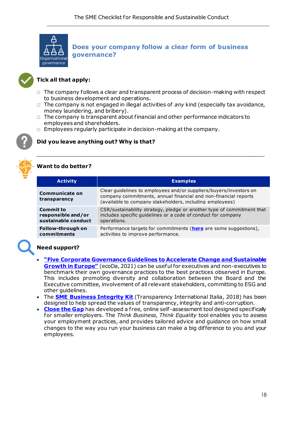<span id="page-17-0"></span>

**Does your company follow a clear form of business governance?**



# **Tick all that apply:**

- $\Box$  The company follows a clear and transparent process of decision-making with respect to business development and operations.
- $\Box$  The company is not engaged in illegal activities of *any* kind (especially tax avoidance, money laundering, and bribery).

\_\_\_\_\_\_\_\_\_\_\_\_\_\_\_\_\_\_\_\_\_\_\_\_\_\_\_\_\_\_\_\_\_\_\_\_\_\_\_\_\_\_\_\_\_\_\_\_\_\_\_\_\_\_\_\_\_\_\_\_\_\_\_\_\_\_\_\_\_\_

- $\Box$  The company is transparent about financial and other performance indicators to employees and shareholders.
- $\Box$  Employees regularly participate in decision-making at the company.



# **Did you leave anything out? Why is that?**



# **Want to do better?**

| <b>Examples</b>                                                                                                                                                                                   |
|---------------------------------------------------------------------------------------------------------------------------------------------------------------------------------------------------|
| Clear guidelines to employees and/or suppliers/buyers/investors on<br>company commitments, annual financial and non-financial reports<br>(available to company stakeholders, including employees) |
| CSR/sustainability strategy, pledge or another type of commitment that<br>includes specific quidelines or a code of conduct for company<br>operations.                                            |
| Performance targets for commitments (here are some suggestions),<br>activities to improve performance.                                                                                            |
|                                                                                                                                                                                                   |

- **["Five Corporate Governance Guidelines to Accelerate Change and Sustainable](https://www.bicg.eu/wp-content/uploads/2021/03/ecoDa-Five-Corporate-Governance-Guidelines.pdf)  [Growth in Europe"](https://www.bicg.eu/wp-content/uploads/2021/03/ecoDa-Five-Corporate-Governance-Guidelines.pdf)** (ecoDa, 2021) can be useful for executives and non-executives to benchmark their own governance practices to the best practices observed in Europe. This includes promoting diversity and collaboration between the Board and the Executive committee, involvement of all relevant stakeholders, committing to ESG and other guidelines.
- The **[SME Business Integrity Kit](https://knowledgehub.transparency.org/product/sme-business-integrity-kit)** (Transparency International Italia, 2018) has been designed to help spread the values of transparency, integrity and anti-corruption.
- [Close the Gap](https://www.closethegap.org.uk/content/employers-sme/) has developed a free, online self-assessment tool designed specifically for smaller employers. The *Think Business, Think Equality* tool enables you to assess your employment practices, and provides tailored advice and guidance on how small changes to the way you run your business can make a big dif ference to you and your employees.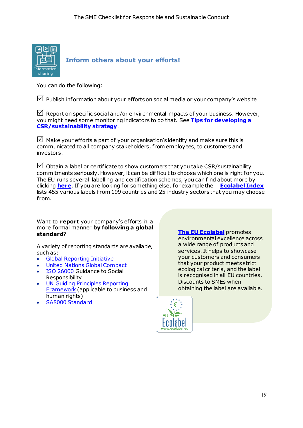<span id="page-18-0"></span>

You can do the following:

 $\mathbb N$  Publish information about your efforts on social media or your company's website

 $\triangledown$  Report on specific social and/or environmental impacts of your business. However, you might need some monitoring indicators to do that. See **[Tips for developing a](#page-19-0)  [CSR/sustainability strategy](#page-19-0)**.

 $\boxtimes$  Make your efforts a part of your organisation's identity and make sure this is communicated to all company stakeholders, from employees, to customers and investors.

 $\boxtimes$  Obtain a label or certificate to show customers that you take CSR/sustainability commitments seriously. However, it can be dif ficult to choose which one is right for you. The EU runs several labelling and certification schemes, you can find about more by clicking **[here](https://ec.europa.eu/info/business-economy-euro/product-safety-and-requirements/eu-labels_en)**. If you are looking for something else, for example the **[Ecolabel Index](http://www.ecolabelindex.com/)** lists 455 various labels from 199 countries and 25 industry sectors that you may choose from.

Want to **report** your company's efforts in a more formal manner **by following a global standard**?

A variety of reporting standards are available, such as:

- [Global Reporting Initiative](https://www.globalreporting.org/)
- [United Nations Global Compact](https://www.unglobalcompact.org/participation/report)
- **[ISO 26000](https://www.iso.org/iso-26000-social-responsibility.html)** Guidance to Social **Responsibility**
- UN Guiding Principles Reporting [Framework](https://www.ungpreporting.org/) (applicable to business and human rights)
- SA8000 [Standard](https://sa-intl.org/programs/sa8000/)

**[The EU Ecolabel](https://europa.eu/youreurope/business/product-requirements/labels-markings/ecolabel/index_en.htm)** promotes environmental excellence across a wide range of products and services. It helps to showcase your customers and consumers that your product meets strict ecological criteria, and the label is recognised in all EU countries. Discounts to SMEs when obtaining the label are available.

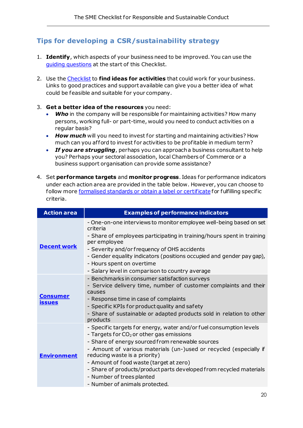# <span id="page-19-0"></span>**Tips for developing a CSR/sustainability strategy**

- 1. **Identify**, which aspects of your business need to be improved. You can use the [guiding questions](#page-8-1) at the start of this Checklist.
- 2. Use th[e Checklist](#page-8-0) to **find ideas for activities** that could work for your business. Links to good practices and support available can give you a better idea of what could be feasible and suitable for your company.
- 3. **Get a better idea of the resources** you need:
	- **Who** in the company will be responsible for maintaining activities? How many persons, working full- or part-time, would you need to conduct activities on a regular basis?
	- *How much* will you need to invest for starting and maintaining activities? How much can you afford to invest for activities to be profitable in medium term?
	- *If you are struggling*, perhaps you can approach a business consultant to help you? Perhaps your sectoral association, local Chambers of Commerce or a business support organisation can provide some assistance?
- 4. Set **performance targets** and **monitor progress**. Ideas for performance indicators under each action area are provided in the table below. However, you can choose to follow mor[e formalised standards or obtain a label or certificate](#page-18-0) for fulfilling specific criteria.

| <b>Action area</b>               | <b>Examples of performance indicators</b>                                                                                                                                                                                                                                                                                                                                                                                                                     |
|----------------------------------|---------------------------------------------------------------------------------------------------------------------------------------------------------------------------------------------------------------------------------------------------------------------------------------------------------------------------------------------------------------------------------------------------------------------------------------------------------------|
| <b>Decent work</b>               | - One-on-one interviews to monitor employee well-being based on set<br>criteria<br>- Share of employees participating in training/hours spent in training<br>per employee<br>- Severity and/or frequency of OHS accidents<br>- Gender equality indicators (positions occupied and gender pay gap),<br>- Hours spent on overtime<br>- Salary level in comparison to country average                                                                            |
| <u>Consumer</u><br><b>issues</b> | - Benchmarks in consumer satisfaction surveys<br>- Service delivery time, number of customer complaints and their<br>causes<br>- Response time in case of complaints<br>- Specific KPIs for product quality and safety<br>- Share of sustainable or adapted products sold in relation to other<br>products                                                                                                                                                    |
| <b>Environment</b>               | - Specific targets for energy, water and/or fuel consumption levels<br>- Targets for $CO2$ or other gas emissions<br>- Share of energy sourced from renewable sources<br>- Amount of various materials (un-)used or recycled (especially if<br>reducing waste is a priority)<br>- Amount of food waste (target at zero)<br>- Share of products/product parts developed from recycled materials<br>- Number of trees planted<br>- Number of animals protected. |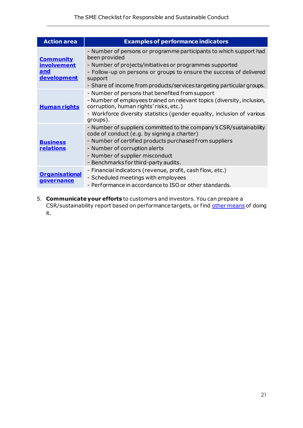| <b>Action area</b>                                                  | <b>Examples of performance indicators</b>                                                                                                                                                                                                                                                                  |
|---------------------------------------------------------------------|------------------------------------------------------------------------------------------------------------------------------------------------------------------------------------------------------------------------------------------------------------------------------------------------------------|
| <b>Community</b><br><b>involvement</b><br>and<br><b>development</b> | - Number of persons or programme participants to which support had<br>been provided<br>- Number of projects/initiatives or programmes supported<br>- Follow-up on persons or groups to ensure the success of delivered<br>support<br>- Share of income from products/services targeting particular groups. |
| <b>Human rights</b>                                                 | - Number of persons that benefited from support<br>- Number of employees trained on relevant topics (diversity, inclusion,<br>corruption, human rights' risks, etc.)<br>- Workforce diversity statistics (gender equality, inclusion of various<br>groups).                                                |
| <b>Business</b><br><b>relations</b>                                 | - Number of suppliers committed to the company's CSR/sustainability<br>code of conduct (e.g. by signing a charter)<br>- Number of certified products purchased from suppliers<br>- Number of corruption alerts<br>- Number of supplier misconduct<br>- Benchmarks for third-party audits.                  |
| <b>Organisational</b><br>qovernance                                 | - Financial indicators (revenue, profit, cash flow, etc.)<br>- Scheduled meetings with employees<br>- Performance in accordance to ISO or other standards.                                                                                                                                                 |

5. **Communicate your efforts** to customers and investors. You can prepare a CSR/sustainability report based on performance targets, or fin[d other means](#page-18-0) of doing it.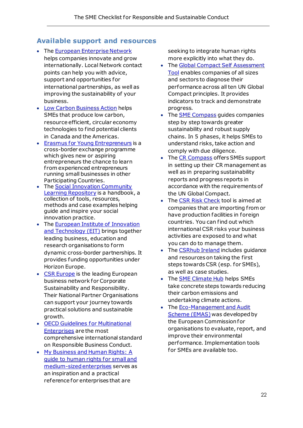# <span id="page-21-0"></span>**Available support and resources**

- The [European Enterprise Network](https://een.ec.europa.eu/) helps companies innovate and grow internationally. Local Network contact points can help you with advice, support and opportunities for international partnerships, as well as improving the sustainability of your business.
- [Low Carbon Business Action](https://clustercollaboration.eu/international-cooperation/low-carbon-business-actions) helps SMEs that produce low carbon, resource efficient, circular economy technologies to find potential clients in Canada and the Americas.
- [Erasmus for Young Entrepreneurs](https://www.erasmus-entrepreneurs.eu/index.php?lan=en) is a cross-border exchange programme which gives new or aspiring entrepreneurs the chance to learn f rom experienced entrepreneurs running small businesses in other Participating Countries.
- The [Social Innovation Community](https://www.siceurope.eu/resources-test/welcome-sic-learning-repository)  [Learning Repository](https://www.siceurope.eu/resources-test/welcome-sic-learning-repository) is a handbook, a collection of tools, resources, methods and case examples helping guide and inspire your social innovation practice.
- The **European Institute of Innovation** [and Technology \(EIT\)](https://eit.europa.eu/) brings together leading business, education and research organisations to form dynamic cross-border partnerships. It provides funding opportunities under Horizon Europe.
- [CSR Europe](https://www.csreurope.org/) is the leading European business network for Corporate Sustainability and Responsibility. Their National Partner Organisations can support your journey towards practical solutions and sustainable growth.
- [OECD Guidelines for Multinational](https://mneguidelines.oecd.org/)  [Enterprises](https://mneguidelines.oecd.org/) are the most comprehensive international standard on Responsible Business Conduct.
- [My Business and Human Rights: A](https://media.business-humanrights.org/media/documents/files/documents/SME-BHR-guide-EU.pdf)  [guide to human rights for small and](https://media.business-humanrights.org/media/documents/files/documents/SME-BHR-guide-EU.pdf)  [medium-sized enterprises](https://media.business-humanrights.org/media/documents/files/documents/SME-BHR-guide-EU.pdf) serves as an inspiration and a practical reference for enterprises that are

seeking to integrate human rights more explicitly into what they do.

- Th[e Global Compact Self Assessment](http://www.globalcompactselfassessment.org/)  [Tool](http://www.globalcompactselfassessment.org/) enables companies of all sizes and sectors to diagnose their performance across all ten UN Global Compact principles. It provides indicators to track and demonstrate progress.
- Th[e SME Compass](https://wirtschaft-entwicklung.de/en/helpdesk-on-business-human-rights/sme-compass/) guides companies step by step towards greater sustainability and robust supply chains. In 5 phases, it helps SMEs to understand risks, take action and comply with due diligence.
- Th[e CR Compass](https://www.crkompass.de/en/home/) offers SMEs support in setting up their CR management as well as in preparing sustainability reports and progress reports in accordance with the requirements of the UN Global Compact.
- Th[e CSR Risk Check](https://www.mvorisicochecker.nl/en) tool is aimed at companies that are importing from or have production facilities in foreign countries. You can find out which international CSR risks your business activities are exposed to and what you can do to manage them.
- The **CSRhub Ireland** includes guidance and resources on taking the first steps towards CSR (esp. for SMEs), as well as case studies.
- The **SME Climate Hub** helps SMEs take concrete steps towards reducing their carbon emissions and undertaking climate actions.
- The **Eco-Management and Audit** [Scheme \(EMAS\)](https://ec.europa.eu/environment/emas/index_en.htm) was developed by the European Commission for organisations to evaluate, report, and improve their environmental performance. Implementation tools for SMEs are available too.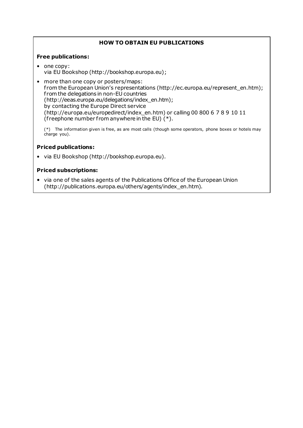# **HOW TO OBTAIN EU PUBLICATIONS**

#### **Free publications:**

- one copy: via EU Bookshop (http://bookshop.europa.eu);
- more than one copy or posters/maps: f rom the European Union's representations (http://ec.europa.eu/represent\_en.htm); f rom the delegations in non-EU countries (http://eeas.europa.eu/delegations/index\_en.htm); by contacting the Europe Direct service (http://europa.eu/europedirect/index\_en.htm) or calling 00 800 6 7 8 9 10 11 (freephone number from anywhere in the EU)  $(*)$ .

[\(\\*\)](http://europa.eu.int/citizensrights/signpost/about/index_en.htm#note1#note1) The information given is free, as are most calls (though some operators, phone boxes or hotels may charge you).

#### **Priced publications:**

• via EU Bookshop (http://bookshop.europa.eu).

#### **Priced subscriptions:**

• via one of the sales agents of the Publications Of fice of the European Union (http://publications.europa.eu/others/agents/index\_en.htm).